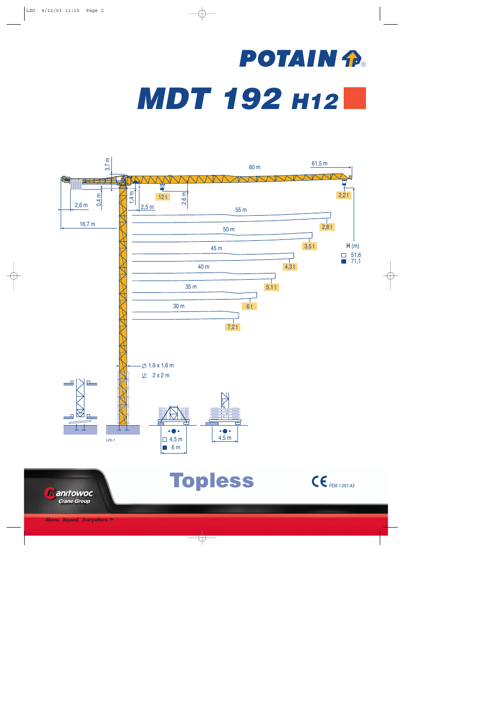## **POTAIN P.** *MDT 192 H12*

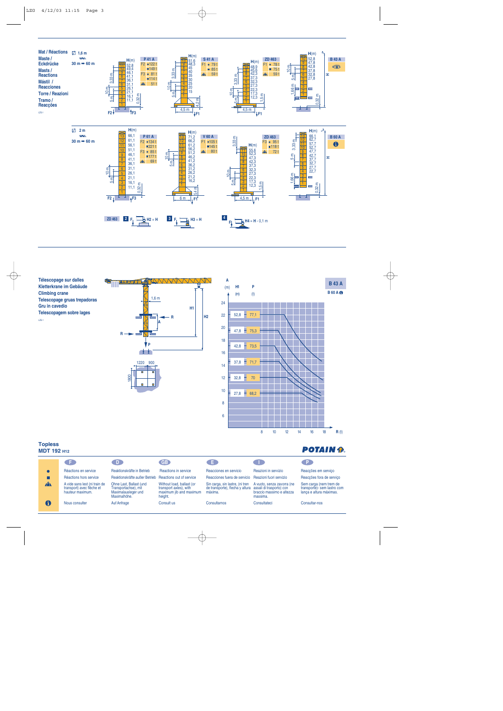

**Télescopage sur dalles Kletterkrane im Gebäude Climbing crane Telescopage gruas trepadoras Gru in cavedio Telescopagem sobre lages** LZG 1





## **Topless**

| 1.91.000     | <b>MDT 192 н12</b>                                                             |                                                                                        |                                                                                           |                                                                               |                                                                                                 |                                                                                  |  |  |  |  |  |  |  |
|--------------|--------------------------------------------------------------------------------|----------------------------------------------------------------------------------------|-------------------------------------------------------------------------------------------|-------------------------------------------------------------------------------|-------------------------------------------------------------------------------------------------|----------------------------------------------------------------------------------|--|--|--|--|--|--|--|
|              | Œ                                                                              | D.                                                                                     | <b>GB</b>                                                                                 | OE.                                                                           | $\sqrt{1}$                                                                                      | -Р.                                                                              |  |  |  |  |  |  |  |
|              | Réactions en service                                                           | Reaktionskräfte in Betrieb                                                             | Reactions in service                                                                      | Reacciones en servicio                                                        | Reazioni in servizio                                                                            | Reaccões em serviço                                                              |  |  |  |  |  |  |  |
|              | Réactions hors service                                                         | Reaktionskräfte außer Betrieb                                                          | Reactions out of service                                                                  | Reacciones fuera de servicio                                                  | Reazioni fuori servizio                                                                         | Reacções fora de serviço                                                         |  |  |  |  |  |  |  |
| $\mathbf{A}$ | A vide sans lest (ni train de<br>transport) avec flèche et<br>hauteur maximum. | Ohne Last, Ballast (und<br>Transportachse), mit<br>Maximalausleger und<br>Maximalhöhe. | Without load, ballast (or<br>transport axles), with<br>maximum jib and maximum<br>height. | Sin carga, sin lastre, (ni tren<br>de transporte), flecha y altura<br>máxima. | A vuoto, senza zavorra (ne<br>assali di trasporto) con<br>braccio massimo e altezza<br>massima. | Sem carga (nem trem de<br>transporte)- sem lastro com<br>lança e altura máximas. |  |  |  |  |  |  |  |
| 0            | Nous consulter                                                                 | Auf Anfrage                                                                            | Consult us                                                                                | Consultarnos                                                                  | Consultateci                                                                                    | Consultar-nos                                                                    |  |  |  |  |  |  |  |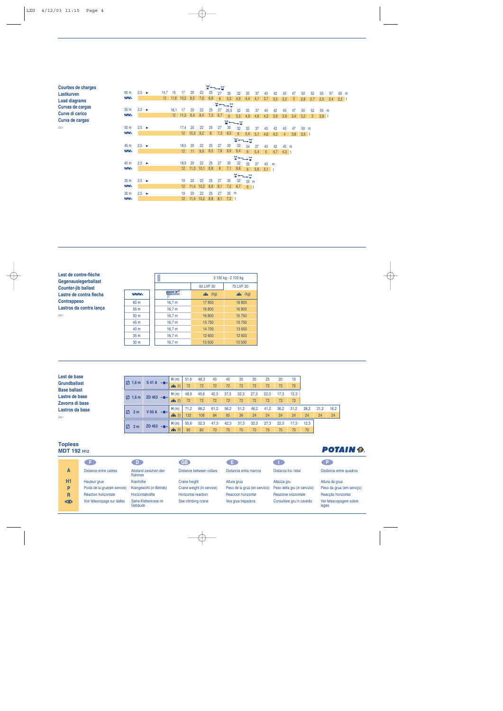| Courbes de charges   |                                 |                   |                 |                 |                 |             |      | ⊻←←∟∀ |     |                                    |                 |                 |     |                |     |         |     |         |              |         |     |         |
|----------------------|---------------------------------|-------------------|-----------------|-----------------|-----------------|-------------|------|-------|-----|------------------------------------|-----------------|-----------------|-----|----------------|-----|---------|-----|---------|--------------|---------|-----|---------|
| Lastkurven           | 60 m                            | $2,5 \rightarrow$ | 14,7            | 15              | 17              | 20          | 22   | 25    | 27  | 30                                 | 32              | 35              | 37  | 40             | 42  | 45      | 47  | 50      | 52           | 55      | 57  | 60 m    |
| <b>Load diagrams</b> | $\overline{\wedge}$             |                   | 12 <sup>°</sup> |                 | $11,8$ 10,2     | 8,5         | 7,6  | 6,6   | 6   | 5.3                                | 4,9             | 4.4             | 4.1 | 3,7            | 3,5 | 3.2     | 3   | 2,8     | 2,7          | 2.5     | 2,4 | $2,2$ t |
| Curvas de cargas     |                                 |                   |                 |                 |                 |             |      |       |     | $\Psi \leftarrow \rightarrow \Box$ |                 |                 |     |                |     |         |     |         |              |         |     |         |
|                      | 55m                             | $2,5 \rightarrow$ |                 | 16,1            | -17             | 20          | 22   | 25    | 27  | 29,5                               | 32              | 35              | 37  | 40             | 42  | 45      | 47  | 50      | 52           | 55      | m   |         |
| Curve di carico      | $\sim$                          |                   |                 | 12 <sup>°</sup> | 11,3            | 9,4         | 8,4  | 7,3   | 6,7 | $6\phantom{a}$                     | 5,5             | 4,9             | 4,6 | 4,2            | 3,9 | 3,6     | 3,4 | 3.2     | $\mathbf{3}$ | $2,8$ t |     |         |
| Curva de cargas      |                                 |                   |                 |                 |                 |             |      |       |     |                                    | <b>W←→⊔</b>     |                 |     |                |     |         |     |         |              |         |     |         |
| LZG <sub>1</sub>     | 50 <sub>m</sub>                 | $2,5 \rightarrow$ |                 |                 | 17,4            | 20          | 22   | 25    | 27  | 30                                 | 32              | 35              | 37  | 40             | 42  | 45      | 47  | 50      | m            |         |     |         |
|                      | $\overline{\wedge}$             |                   |                 |                 | 12 <sup>2</sup> | 10,3        | 9,2  | 8     | 7,3 | 6,5                                | $6\overline{6}$ | 5,4             | 5,1 | 4,6            | 4,3 | 4       | 3,8 | $3,5$ t |              |         |     |         |
|                      |                                 |                   |                 |                 |                 |             |      |       |     |                                    | $\blacksquare$  |                 |     |                |     |         |     |         |              |         |     |         |
|                      | 45 m                            | $2.5 \rightarrow$ |                 |                 | 18,5            | 20          | 22   | 25    | 27  | 30                                 | 32              | 34              | 37  | 40             | 42  | 45      | m   |         |              |         |     |         |
|                      | $\sim$                          |                   |                 |                 | 12 <sup>°</sup> | 11          | 9,9  | 8,5   | 7,8 | 6,9                                | 6,4             | $6\phantom{1}$  | 5,4 | 5 <sup>5</sup> | 4,7 | $4.3$ t |     |         |              |         |     |         |
|                      |                                 |                   |                 |                 |                 |             |      |       |     |                                    | <b>W←←→D</b>    |                 |     |                |     |         |     |         |              |         |     |         |
|                      | 40 m                            | $2.5 \rightarrow$ |                 |                 | 18,9            | 20          | 22   | 25    | 27  | 30                                 | 32              | 35              | 37  | 40             | m   |         |     |         |              |         |     |         |
|                      | $\Delta \Delta \lambda$         |                   |                 |                 | 12 <sup>2</sup> | 11,3        | 10,1 | 8,8   | 8   | 7,1                                | 6,6             | $6\overline{6}$ | 5,6 | 5.1            |     |         |     |         |              |         |     |         |
|                      |                                 |                   |                 |                 |                 |             |      |       |     |                                    | <b>W←←→□</b>    |                 |     |                |     |         |     |         |              |         |     |         |
|                      | 35 <sub>m</sub>                 | $2.5 \rightarrow$ |                 |                 | 19              | 20          | 22   | 25    | 27  | 30                                 | 32              | 35              | m   |                |     |         |     |         |              |         |     |         |
|                      | $\overline{\triangle\triangle}$ |                   |                 |                 | 12 <sup>2</sup> | 11.4        | 10,2 | 8,8   | 8,1 | 7,2                                | 6,7             | $6$ t           |     |                |     |         |     |         |              |         |     |         |
|                      |                                 |                   |                 |                 |                 |             |      |       |     |                                    |                 |                 |     |                |     |         |     |         |              |         |     |         |
|                      | 30 <sub>m</sub>                 | $2,5 \rightarrow$ |                 |                 | 19              | 20          | 22   | 25    | 27  | 30                                 | m               |                 |     |                |     |         |     |         |              |         |     |         |
|                      | $\overline{\wedge}$             |                   |                 |                 | 12 <sup>°</sup> | $11,4$ 10,2 |      | 8,8   | 8,1 | $7,2$ t                            |                 |                 |     |                |     |         |     |         |              |         |     |         |

**Lest de contre-flèche Gegenauslegerballast Counter-jib ballast Lastre de contra flecha Contrappeso Lastros da contra lança** LZG 1

|                 |                   | 3 150 kg - 2 100 kg |                   |  |  |  |  |  |  |  |
|-----------------|-------------------|---------------------|-------------------|--|--|--|--|--|--|--|
|                 |                   | 50 LVF 30           | 75 LVF 30         |  |  |  |  |  |  |  |
| WW.             | ₩                 | $\sum$ (kg)         | $\mathbf{A}$ (kg) |  |  |  |  |  |  |  |
| 60 m            | 16,7 m            | 17850               | 16800             |  |  |  |  |  |  |  |
| 55 m            | 16,7 m            | 16 800              | 16 800            |  |  |  |  |  |  |  |
| 50 <sub>m</sub> | 16,7 m            | 16800               | 15750             |  |  |  |  |  |  |  |
| 45 m            | 16,7 m            | 15750               | 15750             |  |  |  |  |  |  |  |
| 40 m            | 16,7 m            | 14 700              | 13 650            |  |  |  |  |  |  |  |
| 35 <sub>m</sub> | 16,7 m            | 12 600              | 12 600            |  |  |  |  |  |  |  |
| 30 <sub>m</sub> | 16.7 <sub>m</sub> | 10 500              | 10 500            |  |  |  |  |  |  |  |

| Lest de base        |                     |                        |                   |      |      |      |      |      |      |      |      |      |      |      |      |
|---------------------|---------------------|------------------------|-------------------|------|------|------|------|------|------|------|------|------|------|------|------|
| <b>Grundballast</b> | $\Box$ 1,6 m        | $S41A \rightarrow$     | H(m)              | 51,6 | 48,3 | 45   | 40   | 35   | 30   | 25   | 20   | 15   |      |      |      |
|                     |                     |                        | (t)<br><b>ANN</b> | 72   | 72   | 72   | 72   | 72   | 72   | 72   | 72   | 72   |      |      |      |
| <b>Base ballast</b> |                     |                        |                   |      |      |      |      |      |      |      |      |      |      |      |      |
| Lastre de base      | $\boxtimes$ 1.6 m   | ZD 463 $\rightarrow$   | H(m)              | 48,9 | 45,6 | 42,3 | 37,3 | 32,3 | 27,3 | 22,3 | 17,3 | 12,3 |      |      |      |
| Zavorra di base     |                     |                        | $\mathbf{A}$ (t)  | 72   | 72   | 72   | 72   | 72   | 72   | 72   | 72   | 72   |      |      |      |
| Lastros da base     | Ø<br>2 <sub>m</sub> | $V$ 60 A $\rightarrow$ | H(m)              | 71,2 | 66.2 | 61.2 | 56,2 | 51,2 | 46.2 | 41,2 | 36,2 | 31,2 | 26.2 | 21.2 | 16,2 |
| LZG <sub>1</sub>    |                     |                        | $\mathbf{A}$ (t)  | 132  | 108  | 84   | 60   | 36   | 24   | 24   | 24   | 24   | 24   | 24   | 24   |
|                     | <b>Z</b>            | ZD 463 $\rightarrow$   | H(m)              | 55,6 | 52.3 | 47.3 | 42,3 | 37.3 | 32.3 | 27.3 | 22.3 | 17.3 | 12,3 |      |      |
|                     | 2 <sub>m</sub>      |                        |                   | 95   | 80   | 70   | 70   | 70   | 70   | 70   | 70   | 70   | 70   |      |      |

## **Topless MDT 192 H12**

| MD I 192 MZ    |                              |                                  |                            |                               |                              | ---------                       |
|----------------|------------------------------|----------------------------------|----------------------------|-------------------------------|------------------------------|---------------------------------|
|                | ŒÐ                           |                                  | <b>GB</b>                  | - 61                          |                              |                                 |
| A              | Distance entre cadres        | Abstand zwischen den<br>Rahmen   | Distance between collars   | Distancia entra marcos        | Distanza fra i telai         | Distância entre quadros         |
| H <sub>1</sub> | Hauteur grue                 | Kranhöhe                         | Crane height               | Altura grúa                   | Altezza gru                  | Altura da grua                  |
| P              | Poids de la grue(en service) | Krangewicht (in Betrieb)         | Crane weight (in service)  | Peso de la grúa (en servicio) | Peso della gru (in servizio) | Peso da grua (em servico)       |
| R              | Réaction horizontale         | Horizontalkräfte                 | <b>Horizontal reaction</b> | <b>Reaccion horizontal</b>    | Reazione orizzontale         | Reaccão horizontal              |
| ₩              | Voir télescopage sur dalles  | Siehe Kletterkrane im<br>Gebäude | See climbing crane         | Vea grua trepadora            | Consultare gru in cavedio    | Ver telescopagem sobre<br>lages |

## **POTAIN P.**